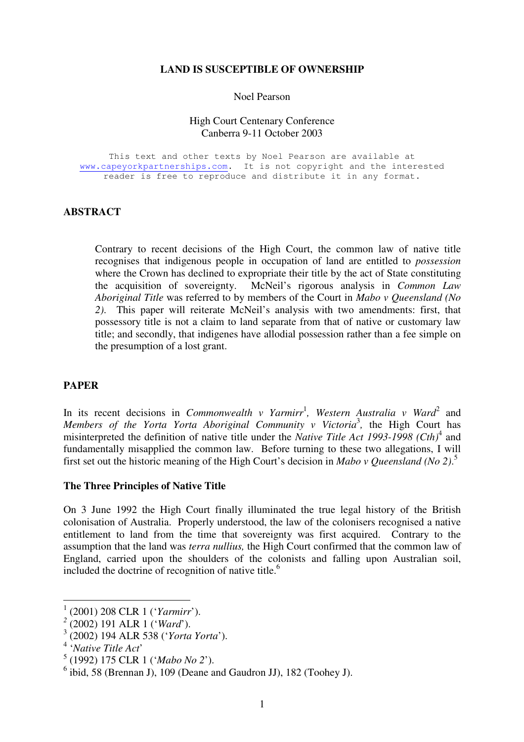### **LAND IS SUSCEPTIBLE OF OWNERSHIP**

#### Noel Pearson

## High Court Centenary Conference Canberra 9-11 October 2003

This text and other texts by Noel Pearson are available at www.capeyorkpartnerships.com. It is not copyright and the interested reader is free to reproduce and distribute it in any format.

## **ABSTRACT**

Contrary to recent decisions of the High Court, the common law of native title recognises that indigenous people in occupation of land are entitled to *possession* where the Crown has declined to expropriate their title by the act of State constituting the acquisition of sovereignty. McNeil's rigorous analysis in *Common Law Aboriginal Title* was referred to by members of the Court in *Mabo v Queensland (No 2)*. This paper will reiterate McNeil's analysis with two amendments: first, that possessory title is not a claim to land separate from that of native or customary law title; and secondly, that indigenes have allodial possession rather than a fee simple on the presumption of a lost grant.

#### **PAPER**

In its recent decisions in *Commonwealth v Yarmirr<sup>1</sup>*, *Western Australia v Ward*<sup>2</sup> and Members of the Yorta Yorta Aboriginal Community v Victoria<sup>3</sup>, the High Court has misinterpreted the definition of native title under the *Native Title Act 1993-1998 (Cth)*<sup>4</sup> and fundamentally misapplied the common law. Before turning to these two allegations, I will first set out the historic meaning of the High Court's decision in *Mabo v Queensland (No 2)*. 5

#### **The Three Principles of Native Title**

On 3 June 1992 the High Court finally illuminated the true legal history of the British colonisation of Australia. Properly understood, the law of the colonisers recognised a native entitlement to land from the time that sovereignty was first acquired. Contrary to the assumption that the land was *terra nullius,* the High Court confirmed that the common law of England, carried upon the shoulders of the colonists and falling upon Australian soil, included the doctrine of recognition of native title.<sup>6</sup>

<sup>1</sup> (2001) 208 CLR 1 ('*Yarmirr*').

*<sup>2</sup>* (2002) 191 ALR 1 ('*Ward*').

<sup>3</sup> (2002) 194 ALR 538 ('*Yorta Yorta*').

<sup>4</sup> '*Native Title Act*'

<sup>5</sup> (1992) 175 CLR 1 ('*Mabo No 2*').

 $<sup>6</sup>$  ibid, 58 (Brennan J), 109 (Deane and Gaudron JJ), 182 (Toohey J).</sup>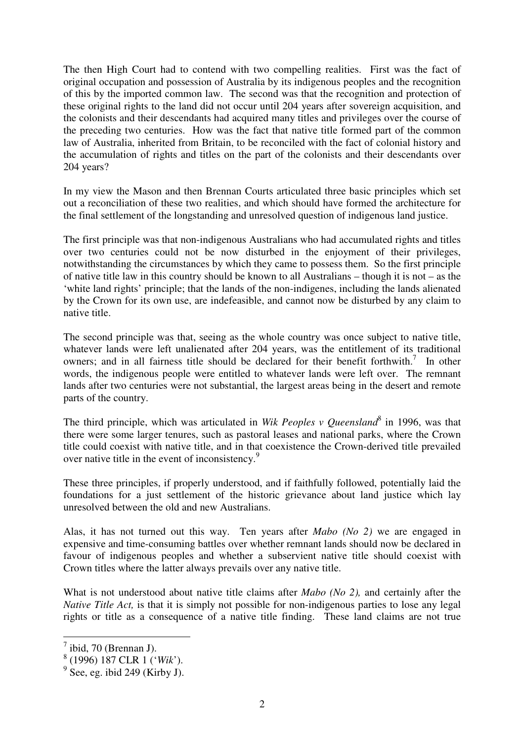The then High Court had to contend with two compelling realities. First was the fact of original occupation and possession of Australia by its indigenous peoples and the recognition of this by the imported common law. The second was that the recognition and protection of these original rights to the land did not occur until 204 years after sovereign acquisition, and the colonists and their descendants had acquired many titles and privileges over the course of the preceding two centuries. How was the fact that native title formed part of the common law of Australia, inherited from Britain, to be reconciled with the fact of colonial history and the accumulation of rights and titles on the part of the colonists and their descendants over 204 years?

In my view the Mason and then Brennan Courts articulated three basic principles which set out a reconciliation of these two realities, and which should have formed the architecture for the final settlement of the longstanding and unresolved question of indigenous land justice.

The first principle was that non-indigenous Australians who had accumulated rights and titles over two centuries could not be now disturbed in the enjoyment of their privileges, notwithstanding the circumstances by which they came to possess them. So the first principle of native title law in this country should be known to all Australians – though it is not – as the 'white land rights' principle; that the lands of the non-indigenes, including the lands alienated by the Crown for its own use, are indefeasible, and cannot now be disturbed by any claim to native title.

The second principle was that, seeing as the whole country was once subject to native title, whatever lands were left unalienated after 204 years, was the entitlement of its traditional owners; and in all fairness title should be declared for their benefit forthwith.<sup>7</sup> In other words, the indigenous people were entitled to whatever lands were left over. The remnant lands after two centuries were not substantial, the largest areas being in the desert and remote parts of the country.

The third principle, which was articulated in *Wik Peoples v Queensland*<sup>8</sup> in 1996, was that there were some larger tenures, such as pastoral leases and national parks, where the Crown title could coexist with native title, and in that coexistence the Crown-derived title prevailed over native title in the event of inconsistency.<sup>9</sup>

These three principles, if properly understood, and if faithfully followed, potentially laid the foundations for a just settlement of the historic grievance about land justice which lay unresolved between the old and new Australians.

Alas, it has not turned out this way. Ten years after *Mabo (No 2)* we are engaged in expensive and time-consuming battles over whether remnant lands should now be declared in favour of indigenous peoples and whether a subservient native title should coexist with Crown titles where the latter always prevails over any native title.

What is not understood about native title claims after *Mabo (No 2),* and certainly after the *Native Title Act,* is that it is simply not possible for non-indigenous parties to lose any legal rights or title as a consequence of a native title finding. These land claims are not true

 $<sup>7</sup>$  ibid, 70 (Brennan J).</sup>

<sup>8</sup> (1996) 187 CLR 1 ('*Wik*').

 $9^9$  See, eg. ibid 249 (Kirby J).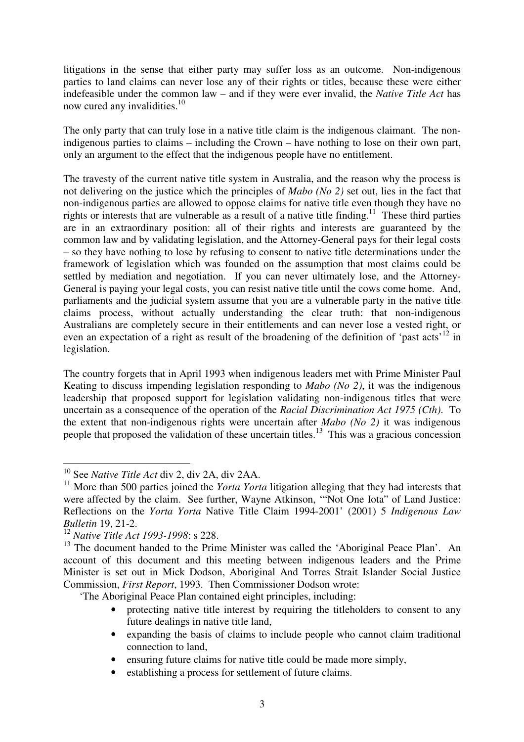litigations in the sense that either party may suffer loss as an outcome. Non-indigenous parties to land claims can never lose any of their rights or titles, because these were either indefeasible under the common law – and if they were ever invalid, the *Native Title Act* has now cured any invalidities.<sup>10</sup>

The only party that can truly lose in a native title claim is the indigenous claimant. The nonindigenous parties to claims – including the Crown – have nothing to lose on their own part, only an argument to the effect that the indigenous people have no entitlement.

The travesty of the current native title system in Australia, and the reason why the process is not delivering on the justice which the principles of *Mabo (No 2)* set out, lies in the fact that non-indigenous parties are allowed to oppose claims for native title even though they have no rights or interests that are vulnerable as a result of a native title finding.<sup>11</sup> These third parties are in an extraordinary position: all of their rights and interests are guaranteed by the common law and by validating legislation, and the Attorney-General pays for their legal costs – so they have nothing to lose by refusing to consent to native title determinations under the framework of legislation which was founded on the assumption that most claims could be settled by mediation and negotiation. If you can never ultimately lose, and the Attorney-General is paying your legal costs, you can resist native title until the cows come home. And, parliaments and the judicial system assume that you are a vulnerable party in the native title claims process, without actually understanding the clear truth: that non-indigenous Australians are completely secure in their entitlements and can never lose a vested right, or even an expectation of a right as result of the broadening of the definition of 'past  $\arctan(12)$  in legislation.

The country forgets that in April 1993 when indigenous leaders met with Prime Minister Paul Keating to discuss impending legislation responding to *Mabo (No 2)*, it was the indigenous leadership that proposed support for legislation validating non-indigenous titles that were uncertain as a consequence of the operation of the *Racial Discrimination Act 1975 (Cth)*.To the extent that non-indigenous rights were uncertain after *Mabo (No 2)* it was indigenous people that proposed the validation of these uncertain titles.<sup>13</sup> This was a gracious concession

'The Aboriginal Peace Plan contained eight principles, including:

- protecting native title interest by requiring the titleholders to consent to any future dealings in native title land,
- expanding the basis of claims to include people who cannot claim traditional connection to land,
- ensuring future claims for native title could be made more simply,
- establishing a process for settlement of future claims.

 $\overline{a}$ <sup>10</sup> See *Native Title Act* div 2, div 2A, div 2AA.

<sup>&</sup>lt;sup>11</sup> More than 500 parties joined the *Yorta Yorta* litigation alleging that they had interests that were affected by the claim. See further, Wayne Atkinson, '"Not One Iota" of Land Justice: Reflections on the *Yorta Yorta* Native Title Claim 1994-2001' (2001) 5 *Indigenous Law Bulletin* 19, 21-2.

<sup>12</sup> *Native Title Act 1993-1998*: s 228.

<sup>&</sup>lt;sup>13</sup> The document handed to the Prime Minister was called the 'Aboriginal Peace Plan'. An account of this document and this meeting between indigenous leaders and the Prime Minister is set out in Mick Dodson, Aboriginal And Torres Strait Islander Social Justice Commission, *First Report*, 1993. Then Commissioner Dodson wrote: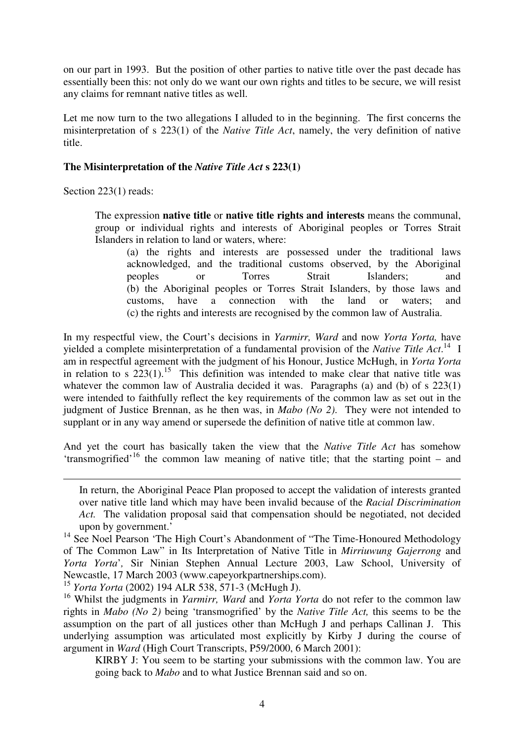on our part in 1993. But the position of other parties to native title over the past decade has essentially been this: not only do we want our own rights and titles to be secure, we will resist any claims for remnant native titles as well.

Let me now turn to the two allegations I alluded to in the beginning. The first concerns the misinterpretation of s 223(1) of the *Native Title Act*, namely, the very definition of native title.

## **The Misinterpretation of the** *Native Title Act* **s 223(1)**

Section 223(1) reads:

 $\overline{a}$ 

The expression **native title** or **native title rights and interests** means the communal, group or individual rights and interests of Aboriginal peoples or Torres Strait Islanders in relation to land or waters, where:

(a) the rights and interests are possessed under the traditional laws acknowledged, and the traditional customs observed, by the Aboriginal peoples or Torres Strait Islanders; and (b) the Aboriginal peoples or Torres Strait Islanders, by those laws and customs, have a connection with the land or waters; and (c) the rights and interests are recognised by the common law of Australia.

In my respectful view, the Court's decisions in *Yarmirr, Ward* and now *Yorta Yorta,* have yielded a complete misinterpretation of a fundamental provision of the *Native Title Act*.<sup>14</sup> I am in respectful agreement with the judgment of his Honour, Justice McHugh, in *Yorta Yorta* in relation to s  $223(1)$ .<sup>15</sup> This definition was intended to make clear that native title was whatever the common law of Australia decided it was. Paragraphs (a) and (b) of s 223(1) were intended to faithfully reflect the key requirements of the common law as set out in the judgment of Justice Brennan, as he then was, in *Mabo (No 2)*.They were not intended to supplant or in any way amend or supersede the definition of native title at common law.

And yet the court has basically taken the view that the *Native Title Act* has somehow 'transmogrified'<sup>16</sup> the common law meaning of native title; that the starting point – and

<sup>15</sup> *Yorta Yorta* (2002) 194 ALR 538, 571-3 (McHugh J).

<sup>16</sup> Whilst the judgments in *Yarmirr*, *Ward* and *Yorta Yorta* do not refer to the common law rights in *Mabo (No 2)* being 'transmogrified' by the *Native Title Act,* this seems to be the assumption on the part of all justices other than McHugh J and perhaps Callinan J. This underlying assumption was articulated most explicitly by Kirby J during the course of argument in *Ward* (High Court Transcripts, P59/2000, 6 March 2001):

KIRBY J: You seem to be starting your submissions with the common law. You are going back to *Mabo* and to what Justice Brennan said and so on.

In return, the Aboriginal Peace Plan proposed to accept the validation of interests granted over native title land which may have been invalid because of the *Racial Discrimination Act.* The validation proposal said that compensation should be negotiated, not decided upon by government.'

<sup>&</sup>lt;sup>14</sup> See Noel Pearson 'The High Court's Abandonment of "The Time-Honoured Methodology of The Common Law" in Its Interpretation of Native Title in *Mirriuwung Gajerrong* and *Yorta Yorta*'*,* Sir Ninian Stephen Annual Lecture 2003, Law School, University of Newcastle, 17 March 2003 (www.capeyorkpartnerships.com).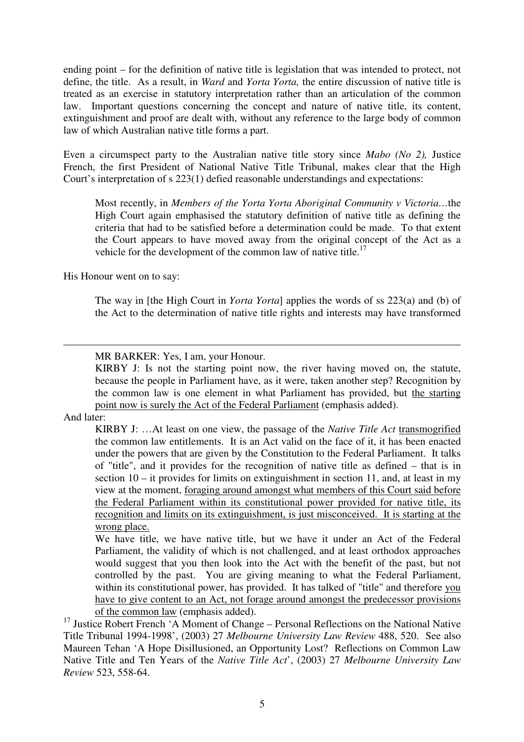ending point – for the definition of native title is legislation that was intended to protect, not define, the title. As a result, in *Ward* and *Yorta Yorta,* the entire discussion of native title is treated as an exercise in statutory interpretation rather than an articulation of the common law. Important questions concerning the concept and nature of native title, its content, extinguishment and proof are dealt with, without any reference to the large body of common law of which Australian native title forms a part.

Even a circumspect party to the Australian native title story since *Mabo (No 2),* Justice French, the first President of National Native Title Tribunal, makes clear that the High Court's interpretation of s 223(1) defied reasonable understandings and expectations:

 Most recently, in *Members of the Yorta Yorta Aboriginal Community v Victoria…*the High Court again emphasised the statutory definition of native title as defining the criteria that had to be satisfied before a determination could be made. To that extent the Court appears to have moved away from the original concept of the Act as a vehicle for the development of the common law of native title.<sup>17</sup>

His Honour went on to say:

The way in [the High Court in *Yorta Yorta*] applies the words of ss 223(a) and (b) of the Act to the determination of native title rights and interests may have transformed

MR BARKER: Yes, I am, your Honour.

KIRBY J: Is not the starting point now, the river having moved on, the statute, because the people in Parliament have, as it were, taken another step? Recognition by the common law is one element in what Parliament has provided, but the starting point now is surely the Act of the Federal Parliament (emphasis added).

And later:

 $\overline{a}$ 

KIRBY J: …At least on one view, the passage of the *Native Title Act* transmogrified the common law entitlements. It is an Act valid on the face of it, it has been enacted under the powers that are given by the Constitution to the Federal Parliament. It talks of "title", and it provides for the recognition of native title as defined – that is in section 10 – it provides for limits on extinguishment in section 11, and, at least in my view at the moment, foraging around amongst what members of this Court said before the Federal Parliament within its constitutional power provided for native title, its recognition and limits on its extinguishment, is just misconceived. It is starting at the wrong place.

We have title, we have native title, but we have it under an Act of the Federal Parliament, the validity of which is not challenged, and at least orthodox approaches would suggest that you then look into the Act with the benefit of the past, but not controlled by the past. You are giving meaning to what the Federal Parliament, within its constitutional power, has provided. It has talked of "title" and therefore you have to give content to an Act, not forage around amongst the predecessor provisions of the common law (emphasis added).

<sup>17</sup> Justice Robert French 'A Moment of Change – Personal Reflections on the National Native Title Tribunal 1994-1998', (2003) 27 *Melbourne University Law Review* 488, 520. See also Maureen Tehan 'A Hope Disillusioned, an Opportunity Lost? Reflections on Common Law Native Title and Ten Years of the *Native Title Act*', (2003) 27 *Melbourne University Law Review* 523, 558-64.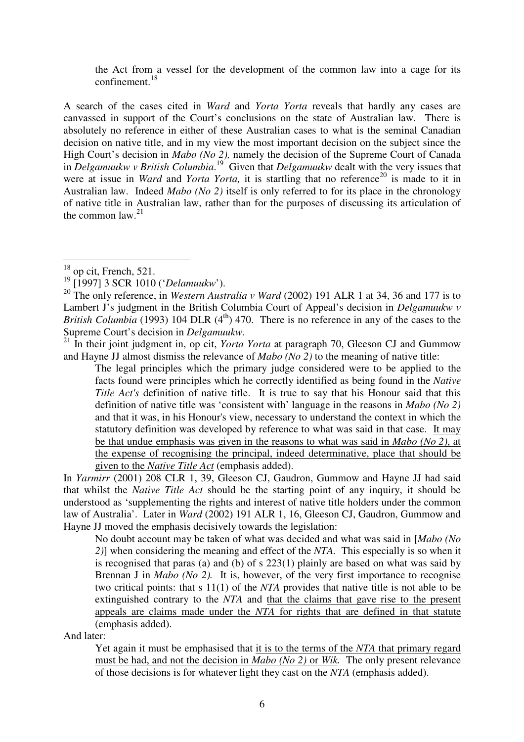the Act from a vessel for the development of the common law into a cage for its confinement.<sup>18</sup>

A search of the cases cited in *Ward* and *Yorta Yorta* reveals that hardly any cases are canvassed in support of the Court's conclusions on the state of Australian law. There is absolutely no reference in either of these Australian cases to what is the seminal Canadian decision on native title, and in my view the most important decision on the subject since the High Court's decision in *Mabo (No 2),* namely the decision of the Supreme Court of Canada in *Delgamuukw v British Columbia*.<sup>19</sup> Given that *Delgamuukw* dealt with the very issues that were at issue in *Ward* and *Yorta Yorta*, it is startling that no reference<sup>20</sup> is made to it in Australian law. Indeed *Mabo (No 2)* itself is only referred to for its place in the chronology of native title in Australian law, rather than for the purposes of discussing its articulation of the common law. $^{21}$ 

 $\overline{a}$ 

<sup>21</sup> In their joint judgment in, op cit, *Yorta Yorta* at paragraph 70, Gleeson CJ and Gummow and Hayne JJ almost dismiss the relevance of *Mabo (No 2)* to the meaning of native title:

The legal principles which the primary judge considered were to be applied to the facts found were principles which he correctly identified as being found in the *Native Title Act's* definition of native title. It is true to say that his Honour said that this definition of native title was 'consistent with' language in the reasons in *Mabo (No 2)* and that it was, in his Honour's view, necessary to understand the context in which the statutory definition was developed by reference to what was said in that case. It may be that undue emphasis was given in the reasons to what was said in *Mabo (No 2)*, at the expense of recognising the principal, indeed determinative, place that should be given to the *Native Title Act* (emphasis added).

In *Yarmirr* (2001) 208 CLR 1, 39, Gleeson CJ, Gaudron, Gummow and Hayne JJ had said that whilst the *Native Title Act* should be the starting point of any inquiry, it should be understood as 'supplementing the rights and interest of native title holders under the common law of Australia'. Later in *Ward* (2002) 191 ALR 1, 16, Gleeson CJ, Gaudron, Gummow and Hayne JJ moved the emphasis decisively towards the legislation:

No doubt account may be taken of what was decided and what was said in [*Mabo (No 2)*] when considering the meaning and effect of the *NTA.* This especially is so when it is recognised that paras (a) and (b) of s 223(1) plainly are based on what was said by Brennan J in *Mabo (No 2).* It is, however, of the very first importance to recognise two critical points: that s 11(1) of the *NTA* provides that native title is not able to be extinguished contrary to the *NTA* and that the claims that gave rise to the present appeals are claims made under the *NTA* for rights that are defined in that statute (emphasis added).

And later:

Yet again it must be emphasised that it is to the terms of the *NTA* that primary regard must be had, and not the decision in *Mabo (No 2)* or *Wik.* The only present relevance of those decisions is for whatever light they cast on the *NTA* (emphasis added).

 $18$  op cit, French, 521.

<sup>19</sup> [1997] 3 SCR 1010 ('*Delamuukw*').

<sup>20</sup> The only reference, in *Western Australia v Ward* (2002) 191 ALR 1 at 34, 36 and 177 is to Lambert J's judgment in the British Columbia Court of Appeal's decision in *Delgamuukw v British Columbia* (1993) 104 DLR  $(4<sup>th</sup>)$  470. There is no reference in any of the cases to the Supreme Court's decision in *Delgamuukw.*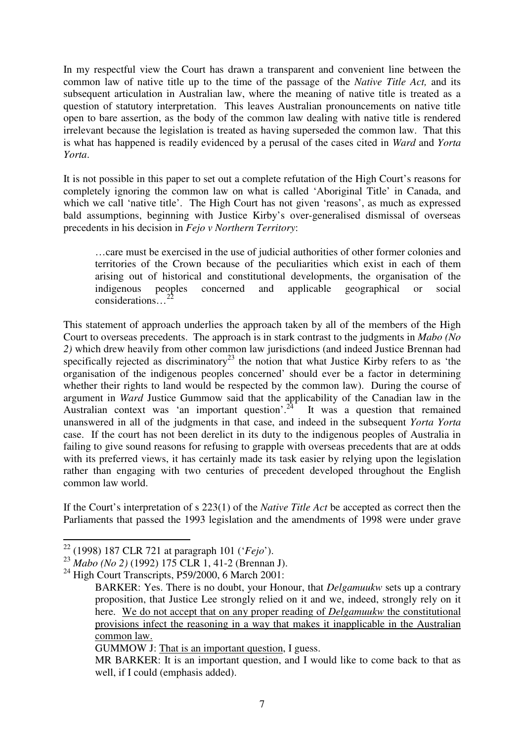In my respectful view the Court has drawn a transparent and convenient line between the common law of native title up to the time of the passage of the *Native Title Act,* and its subsequent articulation in Australian law, where the meaning of native title is treated as a question of statutory interpretation. This leaves Australian pronouncements on native title open to bare assertion, as the body of the common law dealing with native title is rendered irrelevant because the legislation is treated as having superseded the common law. That this is what has happened is readily evidenced by a perusal of the cases cited in *Ward* and *Yorta Yorta*.

It is not possible in this paper to set out a complete refutation of the High Court's reasons for completely ignoring the common law on what is called 'Aboriginal Title' in Canada, and which we call 'native title'. The High Court has not given 'reasons', as much as expressed bald assumptions, beginning with Justice Kirby's over-generalised dismissal of overseas precedents in his decision in *Fejo v Northern Territory*:

…care must be exercised in the use of judicial authorities of other former colonies and territories of the Crown because of the peculiarities which exist in each of them arising out of historical and constitutional developments, the organisation of the indigenous peoples concerned and applicable geographical or social considerations...<sup>22</sup>

This statement of approach underlies the approach taken by all of the members of the High Court to overseas precedents. The approach is in stark contrast to the judgments in *Mabo (No 2)* which drew heavily from other common law jurisdictions (and indeed Justice Brennan had specifically rejected as discriminatory<sup>23</sup> the notion that what Justice Kirby refers to as 'the organisation of the indigenous peoples concerned' should ever be a factor in determining whether their rights to land would be respected by the common law). During the course of argument in *Ward* Justice Gummow said that the applicability of the Canadian law in the Australian context was 'an important question'.<sup>24</sup> It was a question that remained Australian context was 'an important question'.<sup>24</sup> unanswered in all of the judgments in that case, and indeed in the subsequent *Yorta Yorta*  case. If the court has not been derelict in its duty to the indigenous peoples of Australia in failing to give sound reasons for refusing to grapple with overseas precedents that are at odds with its preferred views, it has certainly made its task easier by relying upon the legislation rather than engaging with two centuries of precedent developed throughout the English common law world.

If the Court's interpretation of s 223(1) of the *Native Title Act* be accepted as correct then the Parliaments that passed the 1993 legislation and the amendments of 1998 were under grave

 $\overline{a}$ <sup>22</sup> (1998) 187 CLR 721 at paragraph 101 ('*Fejo*').

<sup>&</sup>lt;sup>23</sup> *Mabo (No 2)* (1992) 175 CLR 1, 41-2 (Brennan J).

<sup>&</sup>lt;sup>24</sup> High Court Transcripts, P59/2000, 6 March 2001:

BARKER: Yes. There is no doubt, your Honour, that *Delgamuukw* sets up a contrary proposition, that Justice Lee strongly relied on it and we, indeed, strongly rely on it here. We do not accept that on any proper reading of *Delgamuukw* the constitutional provisions infect the reasoning in a way that makes it inapplicable in the Australian common law.

GUMMOW J: That is an important question, I guess.

MR BARKER: It is an important question, and I would like to come back to that as well, if I could (emphasis added).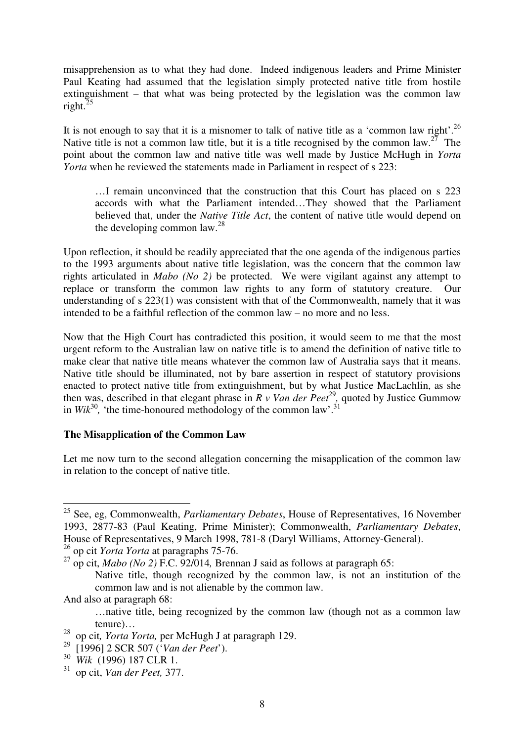misapprehension as to what they had done. Indeed indigenous leaders and Prime Minister Paul Keating had assumed that the legislation simply protected native title from hostile extinguishment – that what was being protected by the legislation was the common law right. $^{25}$ 

It is not enough to say that it is a misnomer to talk of native title as a 'common law right'.<sup>26</sup> Native title is not a common law title, but it is a title recognised by the common law.<sup>27</sup> The point about the common law and native title was well made by Justice McHugh in *Yorta Yorta* when he reviewed the statements made in Parliament in respect of s 223:

 …I remain unconvinced that the construction that this Court has placed on s 223 accords with what the Parliament intended…They showed that the Parliament believed that, under the *Native Title Act*, the content of native title would depend on the developing common law. $^{28}$ 

Upon reflection, it should be readily appreciated that the one agenda of the indigenous parties to the 1993 arguments about native title legislation, was the concern that the common law rights articulated in *Mabo (No 2)* be protected. We were vigilant against any attempt to replace or transform the common law rights to any form of statutory creature. Our understanding of s 223(1) was consistent with that of the Commonwealth, namely that it was intended to be a faithful reflection of the common law – no more and no less.

Now that the High Court has contradicted this position, it would seem to me that the most urgent reform to the Australian law on native title is to amend the definition of native title to make clear that native title means whatever the common law of Australia says that it means. Native title should be illuminated, not by bare assertion in respect of statutory provisions enacted to protect native title from extinguishment, but by what Justice MacLachlin, as she then was, described in that elegant phrase in  $R$  v Van der Peet<sup>29</sup>, quoted by Justice Gummow in  $Wik^{30}$ , 'the time-honoured methodology of the common law'.<sup>31</sup>

# **The Misapplication of the Common Law**

Let me now turn to the second allegation concerning the misapplication of the common law in relation to the concept of native title.

And also at paragraph 68:

<sup>25</sup> See, eg, Commonwealth, *Parliamentary Debates*, House of Representatives, 16 November 1993, 2877-83 (Paul Keating, Prime Minister); Commonwealth, *Parliamentary Debates*, House of Representatives, 9 March 1998, 781-8 (Daryl Williams, Attorney-General). <sup>26</sup> op cit *Yorta Yorta* at paragraphs 75-76.

<sup>27</sup> op cit, *Mabo (No 2)* F.C. 92/014*,* Brennan J said as follows at paragraph 65:

Native title, though recognized by the common law, is not an institution of the common law and is not alienable by the common law.

<sup>…</sup>native title, being recognized by the common law (though not as a common law tenure)…

<sup>28</sup> op cit*, Yorta Yorta,* per McHugh J at paragraph 129.

<sup>29</sup> [1996] 2 SCR 507 ('*Van der Peet*').

<sup>30</sup> *Wik* (1996) 187 CLR 1.

<sup>31</sup> op cit, *Van der Peet,* 377.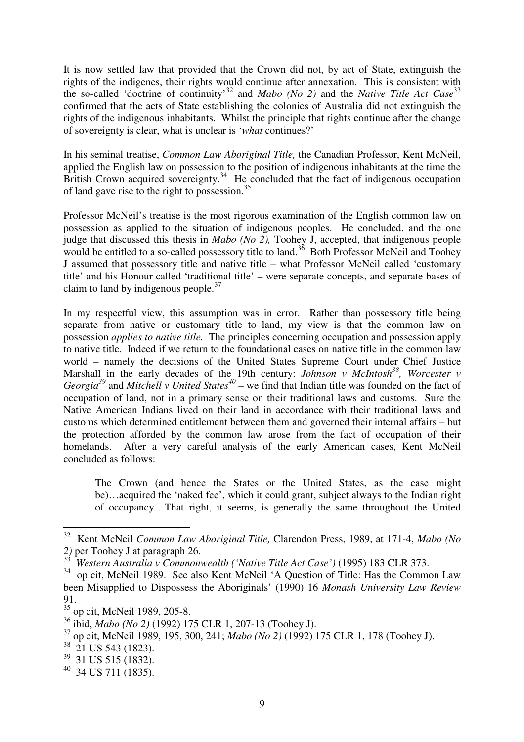It is now settled law that provided that the Crown did not, by act of State, extinguish the rights of the indigenes, their rights would continue after annexation. This is consistent with the so-called 'doctrine of continuity'<sup>32</sup> and *Mabo (No 2)* and the *Native Title Act Case*<sup>33</sup> confirmed that the acts of State establishing the colonies of Australia did not extinguish the rights of the indigenous inhabitants. Whilst the principle that rights continue after the change of sovereignty is clear, what is unclear is '*what* continues?'

In his seminal treatise, *Common Law Aboriginal Title,* the Canadian Professor, Kent McNeil, applied the English law on possession to the position of indigenous inhabitants at the time the British Crown acquired sovereignty.<sup>34</sup> He concluded that the fact of indigenous occupation of land gave rise to the right to possession.<sup>35</sup>

Professor McNeil's treatise is the most rigorous examination of the English common law on possession as applied to the situation of indigenous peoples. He concluded, and the one judge that discussed this thesis in *Mabo (No 2),* Toohey J, accepted, that indigenous people would be entitled to a so-called possessory title to land.<sup>36</sup> Both Professor McNeil and Toohey J assumed that possessory title and native title – what Professor McNeil called 'customary title' and his Honour called 'traditional title' – were separate concepts, and separate bases of claim to land by indigenous people. $37$ 

In my respectful view, this assumption was in error. Rather than possessory title being separate from native or customary title to land, my view is that the common law on possession *applies to native title.* The principles concerning occupation and possession apply to native title. Indeed if we return to the foundational cases on native title in the common law world – namely the decisions of the United States Supreme Court under Chief Justice Marshall in the early decades of the 19th century: *Johnson v McIntosh*<sup>38</sup>*, Worcester v Georgia<sup>39</sup>* and *Mitchell v United States<sup>40</sup>* – we find that Indian title was founded on the fact of occupation of land, not in a primary sense on their traditional laws and customs. Sure the Native American Indians lived on their land in accordance with their traditional laws and customs which determined entitlement between them and governed their internal affairs – but the protection afforded by the common law arose from the fact of occupation of their homelands. After a very careful analysis of the early American cases, Kent McNeil concluded as follows:

 The Crown (and hence the States or the United States, as the case might be)…acquired the 'naked fee', which it could grant, subject always to the Indian right of occupancy…That right, it seems, is generally the same throughout the United

 $32\,$ <sup>32</sup> Kent McNeil *Common Law Aboriginal Title,* Clarendon Press, 1989, at 171-4, *Mabo (No*  2) per Toohey J at paragraph 26.<br><sup>33</sup> Western Australia v Common.

*Western Australia v Commonwealth ('Native Title Act Case')* (1995) 183 CLR 373.

<sup>&</sup>lt;sup>34</sup> op cit, McNeil 1989. See also Kent McNeil 'A Question of Title: Has the Common Law been Misapplied to Dispossess the Aboriginals' (1990) 16 *Monash University Law Review*  91.

<sup>35</sup> op cit, McNeil 1989, 205-8.

<sup>36</sup> ibid, *Mabo (No 2)* (1992) 175 CLR 1, 207-13 (Toohey J).

<sup>37</sup> op cit, McNeil 1989, 195, 300, 241; *Mabo (No 2)* (1992) 175 CLR 1, 178 (Toohey J).

 $38\,$  21 US 543 (1823).

<sup>39</sup> 31 US 515 (1832).

 $40$  34 US 711 (1835).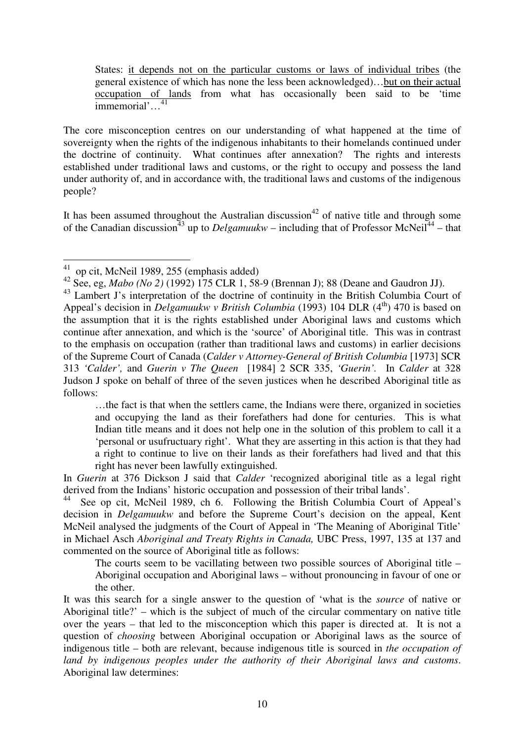States: it depends not on the particular customs or laws of individual tribes (the general existence of which has none the less been acknowledged)…but on their actual occupation of lands from what has occasionally been said to be 'time immemorial'…<sup>41</sup>

The core misconception centres on our understanding of what happened at the time of sovereignty when the rights of the indigenous inhabitants to their homelands continued under the doctrine of continuity. What continues after annexation? The rights and interests established under traditional laws and customs, or the right to occupy and possess the land under authority of, and in accordance with, the traditional laws and customs of the indigenous people?

It has been assumed throughout the Australian discussion<sup>42</sup> of native title and through some of the Canadian discussion<sup>43</sup> up to *Delgamuukw* – including that of Professor McNeil<sup>44</sup> – that

 $\overline{a}$ 

…the fact is that when the settlers came, the Indians were there, organized in societies and occupying the land as their forefathers had done for centuries. This is what Indian title means and it does not help one in the solution of this problem to call it a 'personal or usufructuary right'. What they are asserting in this action is that they had a right to continue to live on their lands as their forefathers had lived and that this right has never been lawfully extinguished.

 $41$  op cit, McNeil 1989, 255 (emphasis added)

<sup>42</sup> See, eg, *Mabo (No 2)* (1992) 175 CLR 1, 58-9 (Brennan J); 88 (Deane and Gaudron JJ).

 $43$  Lambert J's interpretation of the doctrine of continuity in the British Columbia Court of Appeal's decision in *Delgamuukw v British Columbia* (1993) 104 DLR (4<sup>th</sup>) 470 is based on the assumption that it is the rights established under Aboriginal laws and customs which continue after annexation, and which is the 'source' of Aboriginal title. This was in contrast to the emphasis on occupation (rather than traditional laws and customs) in earlier decisions of the Supreme Court of Canada (*Calder v Attorney-General of British Columbia* [1973] SCR 313 *'Calder',* and *Guerin v The Queen* [1984] 2 SCR 335, *'Guerin'.* In *Calder* at 328 Judson J spoke on behalf of three of the seven justices when he described Aboriginal title as follows:

In *Guerin* at 376 Dickson J said that *Calder* 'recognized aboriginal title as a legal right derived from the Indians' historic occupation and possession of their tribal lands'.

See op cit, McNeil 1989, ch 6. Following the British Columbia Court of Appeal's decision in *Delgamuukw* and before the Supreme Court's decision on the appeal, Kent McNeil analysed the judgments of the Court of Appeal in 'The Meaning of Aboriginal Title' in Michael Asch *Aboriginal and Treaty Rights in Canada,* UBC Press, 1997, 135 at 137 and commented on the source of Aboriginal title as follows:

The courts seem to be vacillating between two possible sources of Aboriginal title – Aboriginal occupation and Aboriginal laws – without pronouncing in favour of one or the other.

It was this search for a single answer to the question of 'what is the *source* of native or Aboriginal title?' – which is the subject of much of the circular commentary on native title over the years – that led to the misconception which this paper is directed at. It is not a question of *choosing* between Aboriginal occupation or Aboriginal laws as the source of indigenous title – both are relevant, because indigenous title is sourced in *the occupation of land by indigenous peoples under the authority of their Aboriginal laws and customs*. Aboriginal law determines: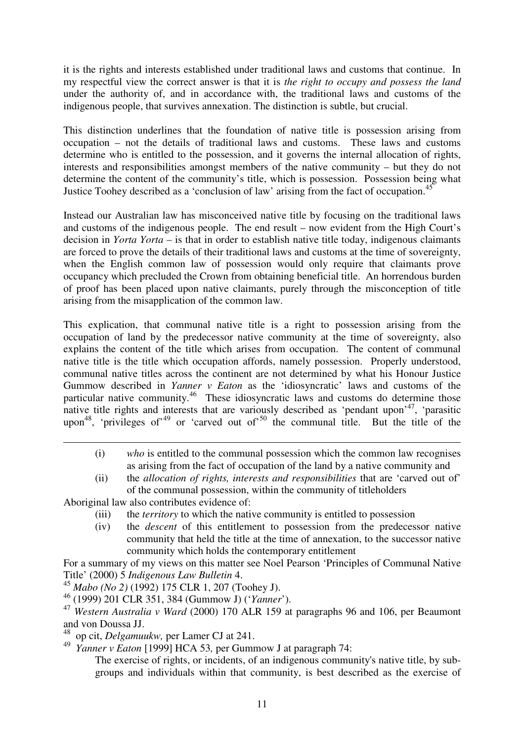it is the rights and interests established under traditional laws and customs that continue. In my respectful view the correct answer is that it is *the right to occupy and possess the land* under the authority of, and in accordance with, the traditional laws and customs of the indigenous people, that survives annexation. The distinction is subtle, but crucial.

This distinction underlines that the foundation of native title is possession arising from occupation – not the details of traditional laws and customs. These laws and customs determine who is entitled to the possession, and it governs the internal allocation of rights, interests and responsibilities amongst members of the native community – but they do not determine the content of the community's title, which is possession. Possession being what Justice Toohey described as a 'conclusion of law' arising from the fact of occupation.<sup>45</sup>

Instead our Australian law has misconceived native title by focusing on the traditional laws and customs of the indigenous people. The end result – now evident from the High Court's decision in *Yorta Yorta* – is that in order to establish native title today, indigenous claimants are forced to prove the details of their traditional laws and customs at the time of sovereignty, when the English common law of possession would only require that claimants prove occupancy which precluded the Crown from obtaining beneficial title. An horrendous burden of proof has been placed upon native claimants, purely through the misconception of title arising from the misapplication of the common law.

This explication, that communal native title is a right to possession arising from the occupation of land by the predecessor native community at the time of sovereignty, also explains the content of the title which arises from occupation. The content of communal native title is the title which occupation affords, namely possession. Properly understood, communal native titles across the continent are not determined by what his Honour Justice Gummow described in *Yanner v Eaton* as the 'idiosyncratic' laws and customs of the particular native community.<sup>46</sup> These idiosyncratic laws and customs do determine those native title rights and interests that are variously described as 'pendant upon'<sup>47</sup>, 'parasitic upon<sup>48</sup>, 'privileges of<sup>-49</sup> or 'carved out of<sup>-50</sup> the communal title. But the title of the

- (i) *who* is entitled to the communal possession which the common law recognises as arising from the fact of occupation of the land by a native community and
- (ii) the *allocation of rights, interests and responsibilities* that are 'carved out of' of the communal possession, within the community of titleholders

Aboriginal law also contributes evidence of:

 $\overline{a}$ 

- (iii) the *territory* to which the native community is entitled to possession
- (iv) the *descent* of this entitlement to possession from the predecessor native community that held the title at the time of annexation, to the successor native community which holds the contemporary entitlement

For a summary of my views on this matter see Noel Pearson 'Principles of Communal Native Title' (2000) 5 *Indigenous Law Bulletin* 4.

<sup>46</sup> (1999) 201 CLR 351, 384 (Gummow J) ('*Yanner*').

49 *Yanner v Eaton* [1999] HCA 53*,* per Gummow J at paragraph 74:

<sup>45</sup> *Mabo (No 2)* (1992) 175 CLR 1, 207 (Toohey J).

<sup>47</sup> *Western Australia v Ward* (2000) 170 ALR 159 at paragraphs 96 and 106, per Beaumont and von Doussa JJ.

<sup>48</sup> op cit, *Delgamuukw,* per Lamer CJ at 241.

The exercise of rights, or incidents, of an indigenous community's native title, by subgroups and individuals within that community, is best described as the exercise of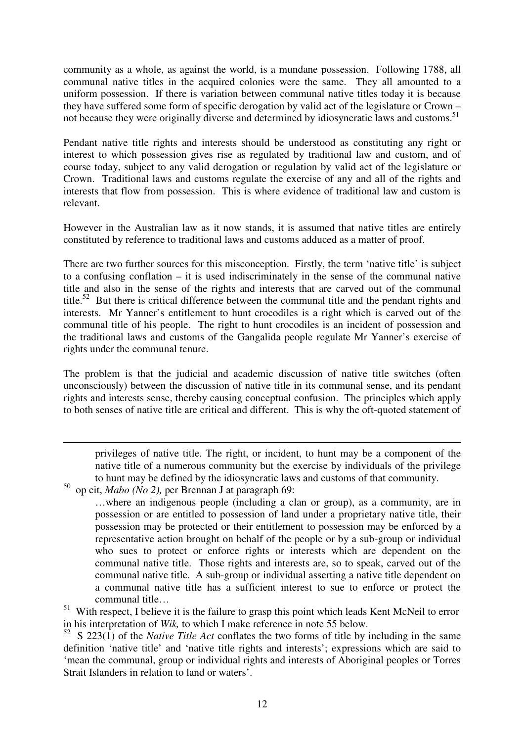community as a whole, as against the world, is a mundane possession. Following 1788, all communal native titles in the acquired colonies were the same. They all amounted to a uniform possession. If there is variation between communal native titles today it is because they have suffered some form of specific derogation by valid act of the legislature or Crown – not because they were originally diverse and determined by idiosyncratic laws and customs.<sup>51</sup>

Pendant native title rights and interests should be understood as constituting any right or interest to which possession gives rise as regulated by traditional law and custom, and of course today, subject to any valid derogation or regulation by valid act of the legislature or Crown. Traditional laws and customs regulate the exercise of any and all of the rights and interests that flow from possession. This is where evidence of traditional law and custom is relevant.

However in the Australian law as it now stands, it is assumed that native titles are entirely constituted by reference to traditional laws and customs adduced as a matter of proof.

There are two further sources for this misconception. Firstly, the term 'native title' is subject to a confusing conflation – it is used indiscriminately in the sense of the communal native title and also in the sense of the rights and interests that are carved out of the communal title.<sup>52</sup> But there is critical difference between the communal title and the pendant rights and interests. Mr Yanner's entitlement to hunt crocodiles is a right which is carved out of the communal title of his people. The right to hunt crocodiles is an incident of possession and the traditional laws and customs of the Gangalida people regulate Mr Yanner's exercise of rights under the communal tenure.

The problem is that the judicial and academic discussion of native title switches (often unconsciously) between the discussion of native title in its communal sense, and its pendant rights and interests sense, thereby causing conceptual confusion. The principles which apply to both senses of native title are critical and different. This is why the oft-quoted statement of

privileges of native title. The right, or incident, to hunt may be a component of the native title of a numerous community but the exercise by individuals of the privilege to hunt may be defined by the idiosyncratic laws and customs of that community.

<sup>50</sup> op cit, *Mabo (No 2),* per Brennan J at paragraph 69:

 $\overline{a}$ 

…where an indigenous people (including a clan or group), as a community, are in possession or are entitled to possession of land under a proprietary native title, their possession may be protected or their entitlement to possession may be enforced by a representative action brought on behalf of the people or by a sub-group or individual who sues to protect or enforce rights or interests which are dependent on the communal native title. Those rights and interests are, so to speak, carved out of the communal native title. A sub-group or individual asserting a native title dependent on a communal native title has a sufficient interest to sue to enforce or protect the communal title…

<sup>51</sup> With respect, I believe it is the failure to grasp this point which leads Kent McNeil to error in his interpretation of *Wik,* to which I make reference in note 55 below.

<sup>52</sup> S 223(1) of the *Native Title Act* conflates the two forms of title by including in the same definition 'native title' and 'native title rights and interests'; expressions which are said to 'mean the communal, group or individual rights and interests of Aboriginal peoples or Torres Strait Islanders in relation to land or waters'.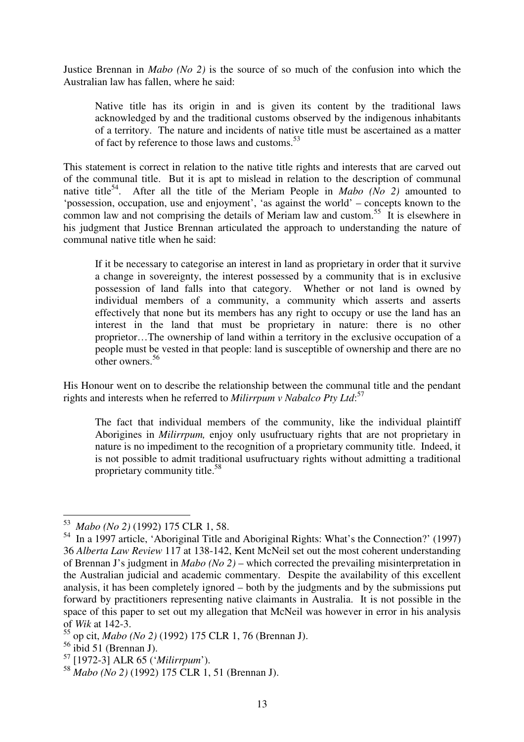Justice Brennan in *Mabo (No 2)* is the source of so much of the confusion into which the Australian law has fallen, where he said:

 Native title has its origin in and is given its content by the traditional laws acknowledged by and the traditional customs observed by the indigenous inhabitants of a territory. The nature and incidents of native title must be ascertained as a matter of fact by reference to those laws and customs.<sup>53</sup>

This statement is correct in relation to the native title rights and interests that are carved out of the communal title. But it is apt to mislead in relation to the description of communal native title<sup>54</sup>. After all the title of the Meriam People in *Mabo (No 2)* amounted to 'possession, occupation, use and enjoyment', 'as against the world' – concepts known to the common law and not comprising the details of Meriam law and custom.<sup>55</sup> It is elsewhere in his judgment that Justice Brennan articulated the approach to understanding the nature of communal native title when he said:

If it be necessary to categorise an interest in land as proprietary in order that it survive a change in sovereignty, the interest possessed by a community that is in exclusive possession of land falls into that category. Whether or not land is owned by individual members of a community, a community which asserts and asserts effectively that none but its members has any right to occupy or use the land has an interest in the land that must be proprietary in nature: there is no other proprietor…The ownership of land within a territory in the exclusive occupation of a people must be vested in that people: land is susceptible of ownership and there are no other owners.<sup>56</sup>

His Honour went on to describe the relationship between the communal title and the pendant rights and interests when he referred to *Milirrpum v Nabalco Pty Ltd*: 57

The fact that individual members of the community, like the individual plaintiff Aborigines in *Milirrpum,* enjoy only usufructuary rights that are not proprietary in nature is no impediment to the recognition of a proprietary community title. Indeed, it is not possible to admit traditional usufructuary rights without admitting a traditional proprietary community title.<sup>58</sup>

 53 *Mabo (No 2)* (1992) 175 CLR 1, 58.

<sup>54</sup> In a 1997 article, 'Aboriginal Title and Aboriginal Rights: What's the Connection?' (1997) 36 *Alberta Law Review* 117 at 138-142, Kent McNeil set out the most coherent understanding of Brennan J's judgment in *Mabo (No 2)* – which corrected the prevailing misinterpretation in the Australian judicial and academic commentary. Despite the availability of this excellent analysis, it has been completely ignored – both by the judgments and by the submissions put forward by practitioners representing native claimants in Australia. It is not possible in the space of this paper to set out my allegation that McNeil was however in error in his analysis of *Wik* at 142-3.

<sup>55</sup> op cit, *Mabo (No 2)* (1992) 175 CLR 1, 76 (Brennan J).

 $56$  ibid 51 (Brennan J).

<sup>57</sup> [1972-3] ALR 65 ('*Milirrpum*').

<sup>58</sup> *Mabo (No 2)* (1992) 175 CLR 1, 51 (Brennan J).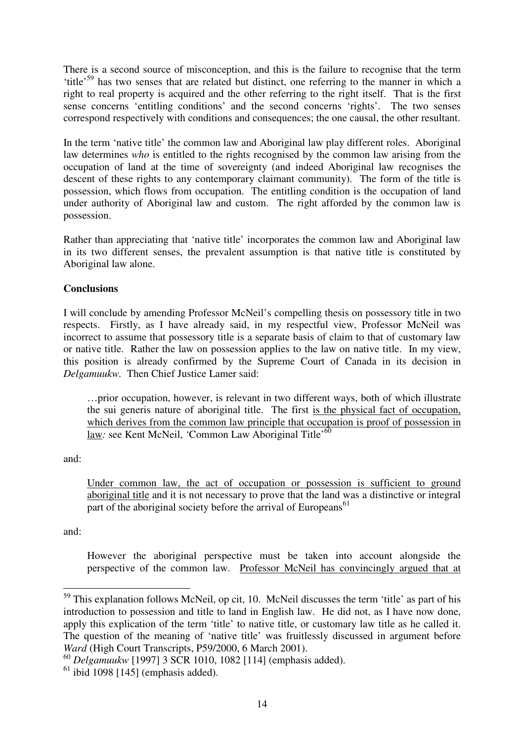There is a second source of misconception, and this is the failure to recognise that the term 'title'<sup>59</sup> has two senses that are related but distinct, one referring to the manner in which a right to real property is acquired and the other referring to the right itself. That is the first sense concerns 'entitling conditions' and the second concerns 'rights'. The two senses correspond respectively with conditions and consequences; the one causal, the other resultant.

In the term 'native title' the common law and Aboriginal law play different roles. Aboriginal law determines *who* is entitled to the rights recognised by the common law arising from the occupation of land at the time of sovereignty (and indeed Aboriginal law recognises the descent of these rights to any contemporary claimant community). The form of the title is possession, which flows from occupation. The entitling condition is the occupation of land under authority of Aboriginal law and custom. The right afforded by the common law is possession.

Rather than appreciating that 'native title' incorporates the common law and Aboriginal law in its two different senses, the prevalent assumption is that native title is constituted by Aboriginal law alone.

# **Conclusions**

I will conclude by amending Professor McNeil's compelling thesis on possessory title in two respects. Firstly, as I have already said, in my respectful view, Professor McNeil was incorrect to assume that possessory title is a separate basis of claim to that of customary law or native title. Rather the law on possession applies to the law on native title. In my view, this position is already confirmed by the Supreme Court of Canada in its decision in *Delgamuukw.* Then Chief Justice Lamer said:

…prior occupation, however, is relevant in two different ways, both of which illustrate the sui generis nature of aboriginal title. The first is the physical fact of occupation, which derives from the common law principle that occupation is proof of possession in law: see Kent McNeil, *'Common Law Aboriginal Title'*<sup>60</sup>

and:

Under common law, the act of occupation or possession is sufficient to ground aboriginal title and it is not necessary to prove that the land was a distinctive or integral part of the aboriginal society before the arrival of Europeans<sup>61</sup>

and:

 $\overline{a}$ 

However the aboriginal perspective must be taken into account alongside the perspective of the common law. Professor McNeil has convincingly argued that at

 $59$  This explanation follows McNeil, op cit, 10. McNeil discusses the term 'title' as part of his introduction to possession and title to land in English law. He did not, as I have now done, apply this explication of the term 'title' to native title, or customary law title as he called it. The question of the meaning of 'native title' was fruitlessly discussed in argument before *Ward* (High Court Transcripts, P59/2000, 6 March 2001).

<sup>60</sup> *Delgamuukw* [1997] 3 SCR 1010, 1082 [114] (emphasis added).

 $61$  ibid 1098 [145] (emphasis added).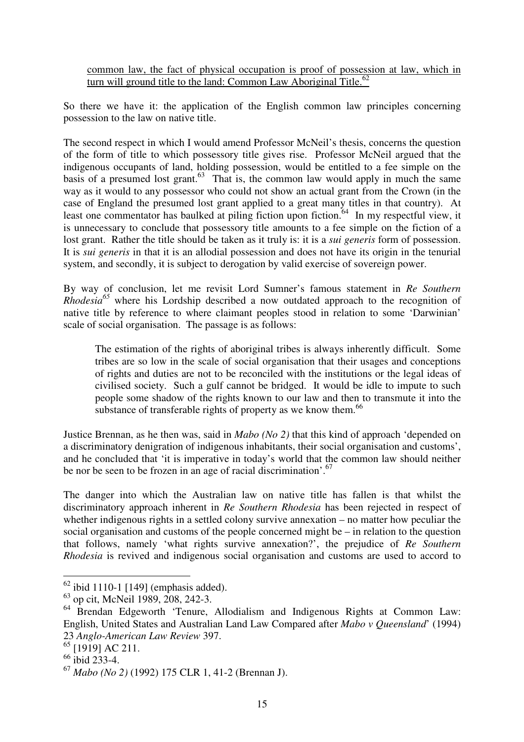common law, the fact of physical occupation is proof of possession at law, which in turn will ground title to the land: Common Law Aboriginal Title.<sup>62</sup>

So there we have it: the application of the English common law principles concerning possession to the law on native title.

The second respect in which I would amend Professor McNeil's thesis, concerns the question of the form of title to which possessory title gives rise. Professor McNeil argued that the indigenous occupants of land, holding possession, would be entitled to a fee simple on the basis of a presumed lost grant. $63$  That is, the common law would apply in much the same way as it would to any possessor who could not show an actual grant from the Crown (in the case of England the presumed lost grant applied to a great many titles in that country). At least one commentator has baulked at piling fiction upon fiction.<sup>64</sup> In my respectful view, it is unnecessary to conclude that possessory title amounts to a fee simple on the fiction of a lost grant. Rather the title should be taken as it truly is: it is a *sui generis* form of possession. It is *sui generis* in that it is an allodial possession and does not have its origin in the tenurial system, and secondly, it is subject to derogation by valid exercise of sovereign power.

By way of conclusion, let me revisit Lord Sumner's famous statement in *Re Southern Rhodesia<sup>65</sup>* where his Lordship described a now outdated approach to the recognition of native title by reference to where claimant peoples stood in relation to some 'Darwinian' scale of social organisation. The passage is as follows:

The estimation of the rights of aboriginal tribes is always inherently difficult. Some tribes are so low in the scale of social organisation that their usages and conceptions of rights and duties are not to be reconciled with the institutions or the legal ideas of civilised society. Such a gulf cannot be bridged. It would be idle to impute to such people some shadow of the rights known to our law and then to transmute it into the substance of transferable rights of property as we know them.<sup>66</sup>

Justice Brennan, as he then was, said in *Mabo (No 2)* that this kind of approach 'depended on a discriminatory denigration of indigenous inhabitants, their social organisation and customs', and he concluded that 'it is imperative in today's world that the common law should neither be nor be seen to be frozen in an age of racial discrimination'.<sup>67</sup>

The danger into which the Australian law on native title has fallen is that whilst the discriminatory approach inherent in *Re Southern Rhodesia* has been rejected in respect of whether indigenous rights in a settled colony survive annexation – no matter how peculiar the social organisation and customs of the people concerned might be – in relation to the question that follows, namely 'what rights survive annexation?', the prejudice of *Re Southern Rhodesia* is revived and indigenous social organisation and customs are used to accord to

 $^{62}$  ibid 1110-1 [149] (emphasis added).

<sup>63</sup> op cit, McNeil 1989, 208, 242-3.

<sup>64</sup> Brendan Edgeworth 'Tenure, Allodialism and Indigenous Rights at Common Law: English, United States and Australian Land Law Compared after *Mabo v Queensland*' (1994) 23 *Anglo-American Law Review* 397.

 $\frac{65}{1919}$  AC 211.

 $66 \text{ ibid } 233-4.$ 

<sup>67</sup> *Mabo (No 2)* (1992) 175 CLR 1, 41-2 (Brennan J).